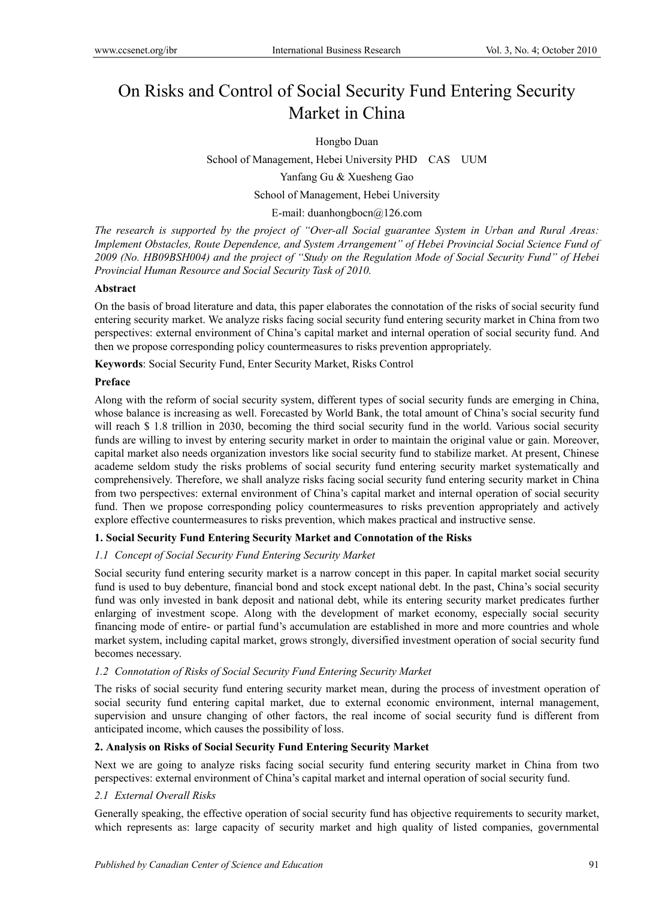# On Risks and Control of Social Security Fund Entering Security Market in China

## Hongbo Duan

School of Management, Hebei University PHD CAS UUM Yanfang Gu & Xuesheng Gao School of Management, Hebei University

E-mail: duanhongbocn@126.com

*The research is supported by the project of "Over-all Social guarantee System in Urban and Rural Areas: Implement Obstacles, Route Dependence, and System Arrangement" of Hebei Provincial Social Science Fund of 2009 (No. HB09BSH004) and the project of "Study on the Regulation Mode of Social Security Fund" of Hebei Provincial Human Resource and Social Security Task of 2010.* 

## **Abstract**

On the basis of broad literature and data, this paper elaborates the connotation of the risks of social security fund entering security market. We analyze risks facing social security fund entering security market in China from two perspectives: external environment of China's capital market and internal operation of social security fund. And then we propose corresponding policy countermeasures to risks prevention appropriately.

**Keywords**: Social Security Fund, Enter Security Market, Risks Control

## **Preface**

Along with the reform of social security system, different types of social security funds are emerging in China, whose balance is increasing as well. Forecasted by World Bank, the total amount of China's social security fund will reach \$ 1.8 trillion in 2030, becoming the third social security fund in the world. Various social security funds are willing to invest by entering security market in order to maintain the original value or gain. Moreover, capital market also needs organization investors like social security fund to stabilize market. At present, Chinese academe seldom study the risks problems of social security fund entering security market systematically and comprehensively. Therefore, we shall analyze risks facing social security fund entering security market in China from two perspectives: external environment of China's capital market and internal operation of social security fund. Then we propose corresponding policy countermeasures to risks prevention appropriately and actively explore effective countermeasures to risks prevention, which makes practical and instructive sense.

## **1. Social Security Fund Entering Security Market and Connotation of the Risks**

## *1.1 Concept of Social Security Fund Entering Security Market*

Social security fund entering security market is a narrow concept in this paper. In capital market social security fund is used to buy debenture, financial bond and stock except national debt. In the past, China's social security fund was only invested in bank deposit and national debt, while its entering security market predicates further enlarging of investment scope. Along with the development of market economy, especially social security financing mode of entire- or partial fund's accumulation are established in more and more countries and whole market system, including capital market, grows strongly, diversified investment operation of social security fund becomes necessary.

## *1.2 Connotation of Risks of Social Security Fund Entering Security Market*

The risks of social security fund entering security market mean, during the process of investment operation of social security fund entering capital market, due to external economic environment, internal management, supervision and unsure changing of other factors, the real income of social security fund is different from anticipated income, which causes the possibility of loss.

#### **2. Analysis on Risks of Social Security Fund Entering Security Market**

Next we are going to analyze risks facing social security fund entering security market in China from two perspectives: external environment of China's capital market and internal operation of social security fund.

## *2.1 External Overall Risks*

Generally speaking, the effective operation of social security fund has objective requirements to security market, which represents as: large capacity of security market and high quality of listed companies, governmental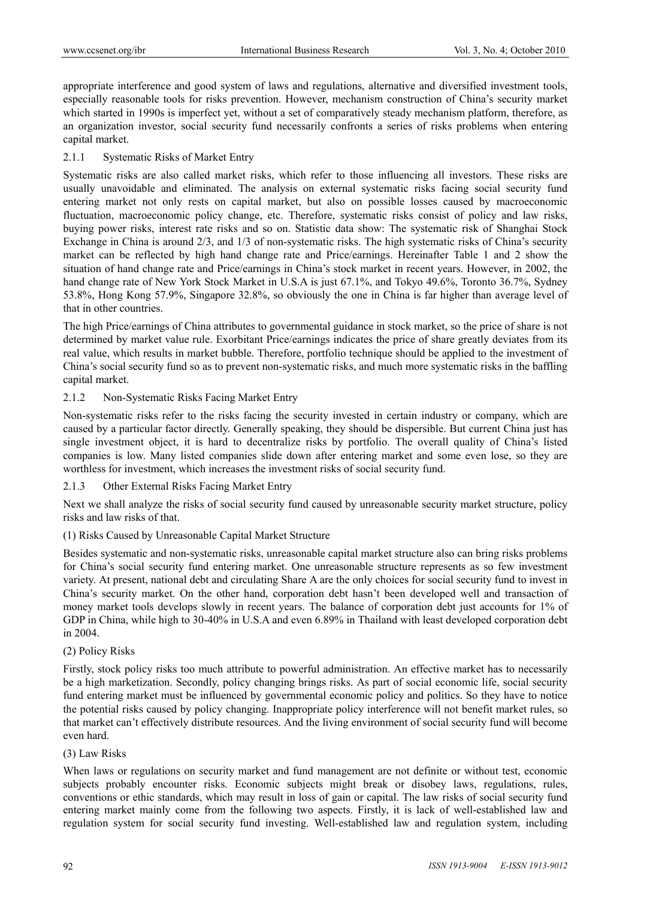appropriate interference and good system of laws and regulations, alternative and diversified investment tools, especially reasonable tools for risks prevention. However, mechanism construction of China's security market which started in 1990s is imperfect yet, without a set of comparatively steady mechanism platform, therefore, as an organization investor, social security fund necessarily confronts a series of risks problems when entering capital market.

## 2.1.1 Systematic Risks of Market Entry

Systematic risks are also called market risks, which refer to those influencing all investors. These risks are usually unavoidable and eliminated. The analysis on external systematic risks facing social security fund entering market not only rests on capital market, but also on possible losses caused by macroeconomic fluctuation, macroeconomic policy change, etc. Therefore, systematic risks consist of policy and law risks, buying power risks, interest rate risks and so on. Statistic data show: The systematic risk of Shanghai Stock Exchange in China is around 2/3, and 1/3 of non-systematic risks. The high systematic risks of China's security market can be reflected by high hand change rate and Price/earnings. Hereinafter Table 1 and 2 show the situation of hand change rate and Price/earnings in China's stock market in recent years. However, in 2002, the hand change rate of New York Stock Market in U.S.A is just 67.1%, and Tokyo 49.6%, Toronto 36.7%, Sydney 53.8%, Hong Kong 57.9%, Singapore 32.8%, so obviously the one in China is far higher than average level of that in other countries.

The high Price/earnings of China attributes to governmental guidance in stock market, so the price of share is not determined by market value rule. Exorbitant Price/earnings indicates the price of share greatly deviates from its real value, which results in market bubble. Therefore, portfolio technique should be applied to the investment of China's social security fund so as to prevent non-systematic risks, and much more systematic risks in the baffling capital market.

## 2.1.2 Non-Systematic Risks Facing Market Entry

Non-systematic risks refer to the risks facing the security invested in certain industry or company, which are caused by a particular factor directly. Generally speaking, they should be dispersible. But current China just has single investment object, it is hard to decentralize risks by portfolio. The overall quality of China's listed companies is low. Many listed companies slide down after entering market and some even lose, so they are worthless for investment, which increases the investment risks of social security fund.

## 2.1.3 Other External Risks Facing Market Entry

Next we shall analyze the risks of social security fund caused by unreasonable security market structure, policy risks and law risks of that.

## (1) Risks Caused by Unreasonable Capital Market Structure

Besides systematic and non-systematic risks, unreasonable capital market structure also can bring risks problems for China's social security fund entering market. One unreasonable structure represents as so few investment variety. At present, national debt and circulating Share A are the only choices for social security fund to invest in China's security market. On the other hand, corporation debt hasn't been developed well and transaction of money market tools develops slowly in recent years. The balance of corporation debt just accounts for 1% of GDP in China, while high to 30-40% in U.S.A and even 6.89% in Thailand with least developed corporation debt in 2004.

## (2) Policy Risks

Firstly, stock policy risks too much attribute to powerful administration. An effective market has to necessarily be a high marketization. Secondly, policy changing brings risks. As part of social economic life, social security fund entering market must be influenced by governmental economic policy and politics. So they have to notice the potential risks caused by policy changing. Inappropriate policy interference will not benefit market rules, so that market can't effectively distribute resources. And the living environment of social security fund will become even hard.

## (3) Law Risks

When laws or regulations on security market and fund management are not definite or without test, economic subjects probably encounter risks. Economic subjects might break or disobey laws, regulations, rules, conventions or ethic standards, which may result in loss of gain or capital. The law risks of social security fund entering market mainly come from the following two aspects. Firstly, it is lack of well-established law and regulation system for social security fund investing. Well-established law and regulation system, including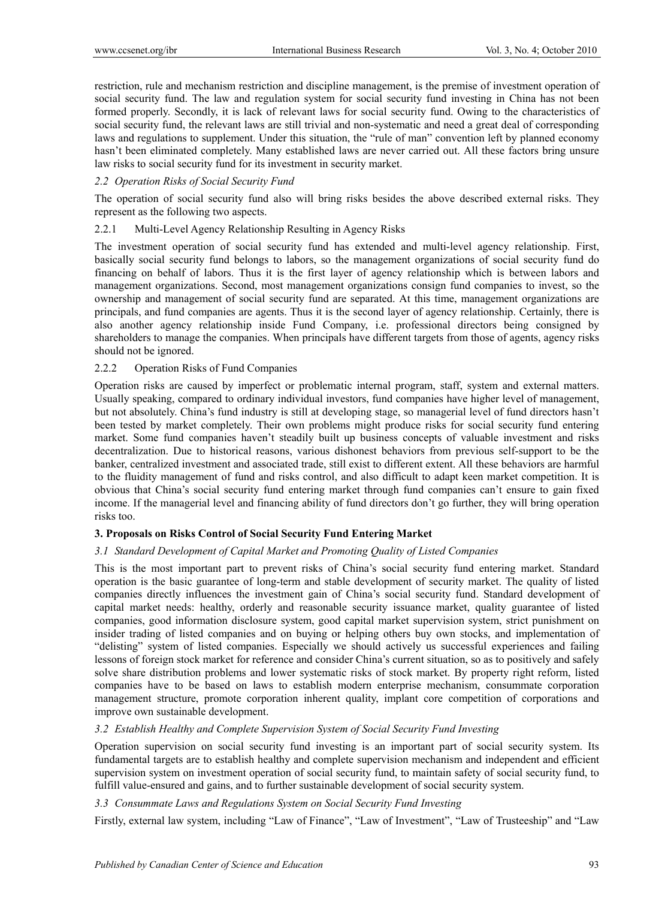restriction, rule and mechanism restriction and discipline management, is the premise of investment operation of social security fund. The law and regulation system for social security fund investing in China has not been formed properly. Secondly, it is lack of relevant laws for social security fund. Owing to the characteristics of social security fund, the relevant laws are still trivial and non-systematic and need a great deal of corresponding laws and regulations to supplement. Under this situation, the "rule of man" convention left by planned economy hasn't been eliminated completely. Many established laws are never carried out. All these factors bring unsure law risks to social security fund for its investment in security market.

## *2.2 Operation Risks of Social Security Fund*

The operation of social security fund also will bring risks besides the above described external risks. They represent as the following two aspects.

## 2.2.1 Multi-Level Agency Relationship Resulting in Agency Risks

The investment operation of social security fund has extended and multi-level agency relationship. First, basically social security fund belongs to labors, so the management organizations of social security fund do financing on behalf of labors. Thus it is the first layer of agency relationship which is between labors and management organizations. Second, most management organizations consign fund companies to invest, so the ownership and management of social security fund are separated. At this time, management organizations are principals, and fund companies are agents. Thus it is the second layer of agency relationship. Certainly, there is also another agency relationship inside Fund Company, i.e. professional directors being consigned by shareholders to manage the companies. When principals have different targets from those of agents, agency risks should not be ignored.

## 2.2.2 Operation Risks of Fund Companies

Operation risks are caused by imperfect or problematic internal program, staff, system and external matters. Usually speaking, compared to ordinary individual investors, fund companies have higher level of management, but not absolutely. China's fund industry is still at developing stage, so managerial level of fund directors hasn't been tested by market completely. Their own problems might produce risks for social security fund entering market. Some fund companies haven't steadily built up business concepts of valuable investment and risks decentralization. Due to historical reasons, various dishonest behaviors from previous self-support to be the banker, centralized investment and associated trade, still exist to different extent. All these behaviors are harmful to the fluidity management of fund and risks control, and also difficult to adapt keen market competition. It is obvious that China's social security fund entering market through fund companies can't ensure to gain fixed income. If the managerial level and financing ability of fund directors don't go further, they will bring operation risks too.

# **3. Proposals on Risks Control of Social Security Fund Entering Market**

# *3.1 Standard Development of Capital Market and Promoting Quality of Listed Companies*

This is the most important part to prevent risks of China's social security fund entering market. Standard operation is the basic guarantee of long-term and stable development of security market. The quality of listed companies directly influences the investment gain of China's social security fund. Standard development of capital market needs: healthy, orderly and reasonable security issuance market, quality guarantee of listed companies, good information disclosure system, good capital market supervision system, strict punishment on insider trading of listed companies and on buying or helping others buy own stocks, and implementation of "delisting" system of listed companies. Especially we should actively us successful experiences and failing lessons of foreign stock market for reference and consider China's current situation, so as to positively and safely solve share distribution problems and lower systematic risks of stock market. By property right reform, listed companies have to be based on laws to establish modern enterprise mechanism, consummate corporation management structure, promote corporation inherent quality, implant core competition of corporations and improve own sustainable development.

## *3.2 Establish Healthy and Complete Supervision System of Social Security Fund Investing*

Operation supervision on social security fund investing is an important part of social security system. Its fundamental targets are to establish healthy and complete supervision mechanism and independent and efficient supervision system on investment operation of social security fund, to maintain safety of social security fund, to fulfill value-ensured and gains, and to further sustainable development of social security system.

## *3.3 Consummate Laws and Regulations System on Social Security Fund Investing*

Firstly, external law system, including "Law of Finance", "Law of Investment", "Law of Trusteeship" and "Law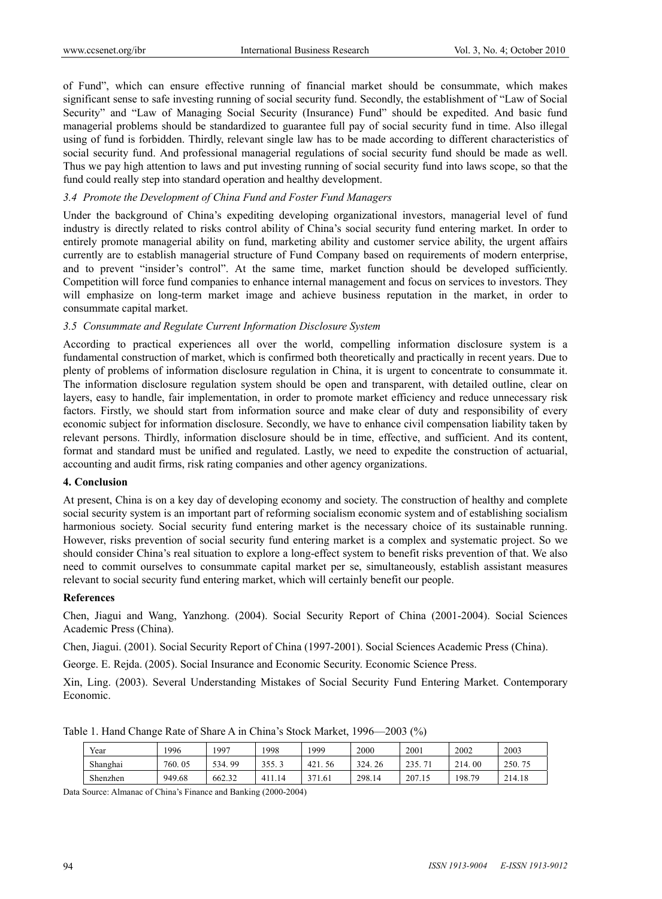of Fund", which can ensure effective running of financial market should be consummate, which makes significant sense to safe investing running of social security fund. Secondly, the establishment of "Law of Social Security" and "Law of Managing Social Security (Insurance) Fund" should be expedited. And basic fund managerial problems should be standardized to guarantee full pay of social security fund in time. Also illegal using of fund is forbidden. Thirdly, relevant single law has to be made according to different characteristics of social security fund. And professional managerial regulations of social security fund should be made as well. Thus we pay high attention to laws and put investing running of social security fund into laws scope, so that the fund could really step into standard operation and healthy development.

## *3.4 Promote the Development of China Fund and Foster Fund Managers*

Under the background of China's expediting developing organizational investors, managerial level of fund industry is directly related to risks control ability of China's social security fund entering market. In order to entirely promote managerial ability on fund, marketing ability and customer service ability, the urgent affairs currently are to establish managerial structure of Fund Company based on requirements of modern enterprise, and to prevent "insider's control". At the same time, market function should be developed sufficiently. Competition will force fund companies to enhance internal management and focus on services to investors. They will emphasize on long-term market image and achieve business reputation in the market, in order to consummate capital market.

#### *3.5 Consummate and Regulate Current Information Disclosure System*

According to practical experiences all over the world, compelling information disclosure system is a fundamental construction of market, which is confirmed both theoretically and practically in recent years. Due to plenty of problems of information disclosure regulation in China, it is urgent to concentrate to consummate it. The information disclosure regulation system should be open and transparent, with detailed outline, clear on layers, easy to handle, fair implementation, in order to promote market efficiency and reduce unnecessary risk factors. Firstly, we should start from information source and make clear of duty and responsibility of every economic subject for information disclosure. Secondly, we have to enhance civil compensation liability taken by relevant persons. Thirdly, information disclosure should be in time, effective, and sufficient. And its content, format and standard must be unified and regulated. Lastly, we need to expedite the construction of actuarial, accounting and audit firms, risk rating companies and other agency organizations.

#### **4. Conclusion**

At present, China is on a key day of developing economy and society. The construction of healthy and complete social security system is an important part of reforming socialism economic system and of establishing socialism harmonious society. Social security fund entering market is the necessary choice of its sustainable running. However, risks prevention of social security fund entering market is a complex and systematic project. So we should consider China's real situation to explore a long-effect system to benefit risks prevention of that. We also need to commit ourselves to consummate capital market per se, simultaneously, establish assistant measures relevant to social security fund entering market, which will certainly benefit our people.

#### **References**

Chen, Jiagui and Wang, Yanzhong. (2004). Social Security Report of China (2001-2004). Social Sciences Academic Press (China).

Chen, Jiagui. (2001). Social Security Report of China (1997-2001). Social Sciences Academic Press (China).

George. E. Rejda. (2005). Social Insurance and Economic Security. Economic Science Press.

Xin, Ling. (2003). Several Understanding Mistakes of Social Security Fund Entering Market. Contemporary Economic.

| Year     | 1996   | 1997        | 1998   | 1999        | 2000   | 2001      | 2002       | 2003                             |
|----------|--------|-------------|--------|-------------|--------|-----------|------------|----------------------------------|
| Shanghai | 760.05 | -99<br>534. | 355.   | 421<br>56   | 324.26 | つつく<br>71 | 00<br>214. | 250.<br>$\overline{\phantom{a}}$ |
| Shenzhen | 949.68 | 662.32      | 411.14 | 271<br>1.61 | 298.14 | 207.15    | 198.79     | 214.18                           |

Table 1. Hand Change Rate of Share A in China's Stock Market, 1996—2003 (%)

Data Source: Almanac of China's Finance and Banking (2000-2004)